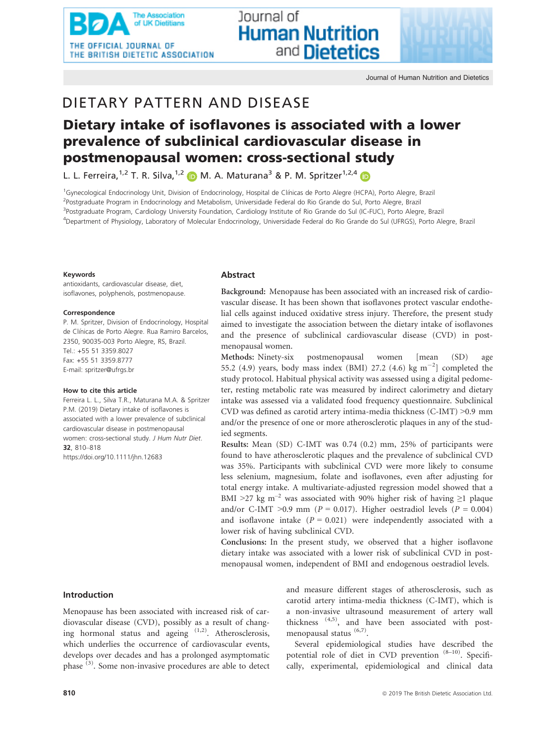# lournal of **Human Nutrition** and **Dietetics**

# DIETARY PATTERN AND DISEASE

## Dietary intake of isoflavones is associated with a lower prevalence of subclinical cardiovascular disease in postmenopausal women: cross-sectional study

L. L. Ferreira,<sup>1,2</sup> T. R. Silva,<sup>1,2</sup> D M. A. Maturana<sup>3</sup> & P. M. Spritzer<sup>1,2,4</sup> D

<sup>1</sup>Gynecological Endocrinology Unit, Division of Endocrinology, Hospital de Clínicas de Porto Alegre (HCPA), Porto Alegre, Brazil <sup>2</sup>Postgraduate Program in Endocrinology and Metabolism, Universidade Federal do Rio Grande do Sul, Porto Alegre, Brazil <sup>3</sup>Postgraduate Program, Cardiology University Foundation, Cardiology Institute of Rio Grande do Sul (IC-FUC), Porto Alegre, Brazil

4 Department of Physiology, Laboratory of Molecular Endocrinology, Universidade Federal do Rio Grande do Sul (UFRGS), Porto Alegre, Brazil

#### Keywords

antioxidants, cardiovascular disease, diet, isoflavones, polyphenols, postmenopause.

#### **Correspondence**

P. M. Spritzer, Division of Endocrinology, Hospital de Clínicas de Porto Alegre. Rua Ramiro Barcelos, 2350, 90035-003 Porto Alegre, RS, Brazil. Tel.: +55 51 3359.8027 Fax: +55 51 3359.8777 E-mail: spritzer@ufrgs.br

#### How to cite this article

Ferreira L. L., Silva T.R., Maturana M.A. & Spritzer P.M. (2019) Dietary intake of isoflavones is associated with a lower prevalence of subclinical cardiovascular disease in postmenopausal women: cross-sectional study. J Hum Nutr Diet. 32, 810–818

https://doi.org/10.1111/jhn.12683

#### Introduction

Menopause has been associated with increased risk of cardiovascular disease (CVD), possibly as a result of changing hormonal status and ageing (1,2). Atherosclerosis, which underlies the occurrence of cardiovascular events, develops over decades and has a prolonged asymptomatic phase (3). Some non-invasive procedures are able to detect

#### Abstract

Background: Menopause has been associated with an increased risk of cardiovascular disease. It has been shown that isoflavones protect vascular endothelial cells against induced oxidative stress injury. Therefore, the present study aimed to investigate the association between the dietary intake of isoflavones and the presence of subclinical cardiovascular disease (CVD) in postmenopausal women.

Methods: Ninety-six postmenopausal women [mean (SD) age 55.2 (4.9) years, body mass index (BMI) 27.2 (4.6) kg  $m^{-2}$ ] completed the study protocol. Habitual physical activity was assessed using a digital pedometer, resting metabolic rate was measured by indirect calorimetry and dietary intake was assessed via a validated food frequency questionnaire. Subclinical CVD was defined as carotid artery intima-media thickness (C-IMT) >0.9 mm and/or the presence of one or more atherosclerotic plaques in any of the studied segments.

Results: Mean (SD) C-IMT was 0.74 (0.2) mm, 25% of participants were found to have atherosclerotic plaques and the prevalence of subclinical CVD was 35%. Participants with subclinical CVD were more likely to consume less selenium, magnesium, folate and isoflavones, even after adjusting for total energy intake. A multivariate-adjusted regression model showed that a BMI >27 kg m<sup>-2</sup> was associated with 90% higher risk of having  $\geq$ 1 plaque and/or C-IMT >0.9 mm ( $P = 0.017$ ). Higher oestradiol levels ( $P = 0.004$ ) and isoflavone intake  $(P = 0.021)$  were independently associated with a lower risk of having subclinical CVD.

Conclusions: In the present study, we observed that a higher isoflavone dietary intake was associated with a lower risk of subclinical CVD in postmenopausal women, independent of BMI and endogenous oestradiol levels.

> and measure different stages of atherosclerosis, such as carotid artery intima-media thickness (C-IMT), which is a non-invasive ultrasound measurement of artery wall thickness  $(4,5)$ , and have been associated with postmenopausal status <sup>(6,7)</sup>.

> Several epidemiological studies have described the potential role of diet in CVD prevention (8–10). Specifically, experimental, epidemiological and clinical data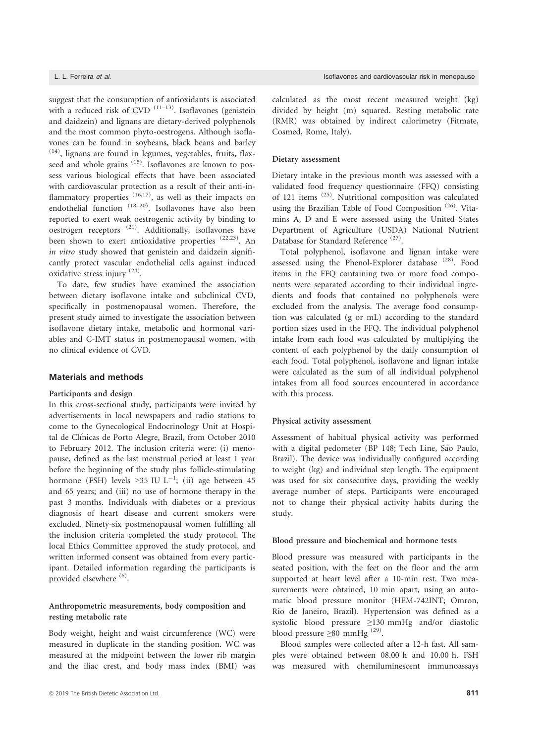suggest that the consumption of antioxidants is associated with a reduced risk of CVD  $(11-13)$ . Isoflavones (genistein and daidzein) and lignans are dietary-derived polyphenols and the most common phyto-oestrogens. Although isoflavones can be found in soybeans, black beans and barley  $(14)$ , lignans are found in legumes, vegetables, fruits, flaxseed and whole grains <sup>(15)</sup>. Isoflavones are known to possess various biological effects that have been associated with cardiovascular protection as a result of their anti-inflammatory properties  $(16,17)$ , as well as their impacts on endothelial function (18–20). Isoflavones have also been reported to exert weak oestrogenic activity by binding to oestrogen receptors (21). Additionally, isoflavones have been shown to exert antioxidative properties (22,23). An in vitro study showed that genistein and daidzein significantly protect vascular endothelial cells against induced oxidative stress injury (24).

To date, few studies have examined the association between dietary isoflavone intake and subclinical CVD, specifically in postmenopausal women. Therefore, the present study aimed to investigate the association between isoflavone dietary intake, metabolic and hormonal variables and C-IMT status in postmenopausal women, with no clinical evidence of CVD.

#### Materials and methods

#### Participants and design

In this cross-sectional study, participants were invited by advertisements in local newspapers and radio stations to come to the Gynecological Endocrinology Unit at Hospital de Clínicas de Porto Alegre, Brazil, from October 2010 to February 2012. The inclusion criteria were: (i) menopause, defined as the last menstrual period at least 1 year before the beginning of the study plus follicle-stimulating hormone (FSH) levels >35 IU  $L^{-1}$ ; (ii) age between 45 and 65 years; and (iii) no use of hormone therapy in the past 3 months. Individuals with diabetes or a previous diagnosis of heart disease and current smokers were excluded. Ninety-six postmenopausal women fulfilling all the inclusion criteria completed the study protocol. The local Ethics Committee approved the study protocol, and written informed consent was obtained from every participant. Detailed information regarding the participants is provided elsewhere <sup>(6)</sup>.

#### Anthropometric measurements, body composition and resting metabolic rate

Body weight, height and waist circumference (WC) were measured in duplicate in the standing position. WC was measured at the midpoint between the lower rib margin and the iliac crest, and body mass index (BMI) was

calculated as the most recent measured weight (kg) divided by height (m) squared. Resting metabolic rate (RMR) was obtained by indirect calorimetry (Fitmate, Cosmed, Rome, Italy).

#### Dietary assessment

Dietary intake in the previous month was assessed with a validated food frequency questionnaire (FFQ) consisting of 121 items (25). Nutritional composition was calculated using the Brazilian Table of Food Composition<sup>(26)</sup>. Vitamins A, D and E were assessed using the United States Department of Agriculture (USDA) National Nutrient Database for Standard Reference<sup>(27)</sup>.

Total polyphenol, isoflavone and lignan intake were assessed using the Phenol-Explorer database (28). Food items in the FFQ containing two or more food components were separated according to their individual ingredients and foods that contained no polyphenols were excluded from the analysis. The average food consumption was calculated (g or mL) according to the standard portion sizes used in the FFQ. The individual polyphenol intake from each food was calculated by multiplying the content of each polyphenol by the daily consumption of each food. Total polyphenol, isoflavone and lignan intake were calculated as the sum of all individual polyphenol intakes from all food sources encountered in accordance with this process.

#### Physical activity assessment

Assessment of habitual physical activity was performed with a digital pedometer (BP 148; Tech Line, São Paulo, Brazil). The device was individually configured according to weight (kg) and individual step length. The equipment was used for six consecutive days, providing the weekly average number of steps. Participants were encouraged not to change their physical activity habits during the study.

#### Blood pressure and biochemical and hormone tests

Blood pressure was measured with participants in the seated position, with the feet on the floor and the arm supported at heart level after a 10-min rest. Two measurements were obtained, 10 min apart, using an automatic blood pressure monitor (HEM-742INT; Omron, Rio de Janeiro, Brazil). Hypertension was defined as a systolic blood pressure ≥130 mmHg and/or diastolic blood pressure  $\geq 80$  mmHg<sup>(29)</sup>.

Blood samples were collected after a 12-h fast. All samples were obtained between 08.00 h and 10.00 h. FSH was measured with chemiluminescent immunoassays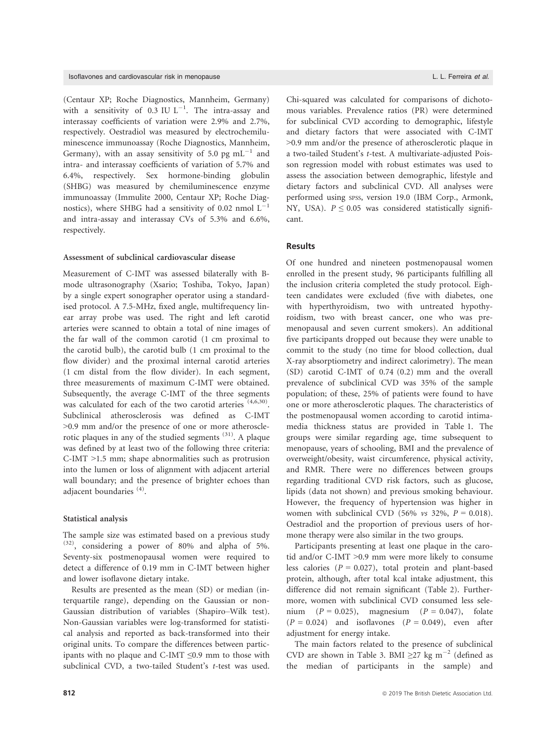#### Isoflavones and cardiovascular risk in menopause L. L. Ferreira et al.

(Centaur XP; Roche Diagnostics, Mannheim, Germany) with a sensitivity of 0.3 IU  $L^{-1}$ . The intra-assay and interassay coefficients of variation were 2.9% and 2.7%, respectively. Oestradiol was measured by electrochemiluminescence immunoassay (Roche Diagnostics, Mannheim, Germany), with an assay sensitivity of 5.0 pg  $mL^{-1}$  and intra- and interassay coefficients of variation of 5.7% and 6.4%, respectively. Sex hormone-binding globulin (SHBG) was measured by chemiluminescence enzyme immunoassay (Immulite 2000, Centaur XP; Roche Diagnostics), where SHBG had a sensitivity of  $0.02$  nmol L<sup>-</sup> and intra-assay and interassay CVs of 5.3% and 6.6%, respectively.

#### Assessment of subclinical cardiovascular disease

Measurement of C-IMT was assessed bilaterally with Bmode ultrasonography (Xsario; Toshiba, Tokyo, Japan) by a single expert sonographer operator using a standardised protocol. A 7.5-MHz, fixed angle, multifrequency linear array probe was used. The right and left carotid arteries were scanned to obtain a total of nine images of the far wall of the common carotid (1 cm proximal to the carotid bulb), the carotid bulb (1 cm proximal to the flow divider) and the proximal internal carotid arteries (1 cm distal from the flow divider). In each segment, three measurements of maximum C-IMT were obtained. Subsequently, the average C-IMT of the three segments was calculated for each of the two carotid arteries  $(4,6,30)$ . Subclinical atherosclerosis was defined as C-IMT >0.9 mm and/or the presence of one or more atherosclerotic plaques in any of the studied segments  $(31)$ . A plaque was defined by at least two of the following three criteria: C-IMT >1.5 mm; shape abnormalities such as protrusion into the lumen or loss of alignment with adjacent arterial wall boundary; and the presence of brighter echoes than adjacent boundaries (4).

#### Statistical analysis

The sample size was estimated based on a previous study  $(32)$ , considering a power of 80% and alpha of 5%. Seventy-six postmenopausal women were required to detect a difference of 0.19 mm in C-IMT between higher and lower isoflavone dietary intake.

Results are presented as the mean (SD) or median (interquartile range), depending on the Gaussian or non-Gaussian distribution of variables (Shapiro–Wilk test). Non-Gaussian variables were log-transformed for statistical analysis and reported as back-transformed into their original units. To compare the differences between participants with no plaque and C-IMT  $\leq 0.9$  mm to those with subclinical CVD, a two-tailed Student's t-test was used.

Chi-squared was calculated for comparisons of dichotomous variables. Prevalence ratios (PR) were determined for subclinical CVD according to demographic, lifestyle and dietary factors that were associated with C-IMT >0.9 mm and/or the presence of atherosclerotic plaque in a two-tailed Student's t-test. A multivariate-adjusted Poisson regression model with robust estimates was used to assess the association between demographic, lifestyle and dietary factors and subclinical CVD. All analyses were performed using SPSS, version 19.0 (IBM Corp., Armonk, NY, USA).  $P \le 0.05$  was considered statistically significant.

### Results

Of one hundred and nineteen postmenopausal women enrolled in the present study, 96 participants fulfilling all the inclusion criteria completed the study protocol. Eighteen candidates were excluded (five with diabetes, one with hyperthyroidism, two with untreated hypothyroidism, two with breast cancer, one who was premenopausal and seven current smokers). An additional five participants dropped out because they were unable to commit to the study (no time for blood collection, dual X-ray absorptiometry and indirect calorimetry). The mean (SD) carotid C-IMT of 0.74 (0.2) mm and the overall prevalence of subclinical CVD was 35% of the sample population; of these, 25% of patients were found to have one or more atherosclerotic plaques. The characteristics of the postmenopausal women according to carotid intimamedia thickness status are provided in Table 1. The groups were similar regarding age, time subsequent to menopause, years of schooling, BMI and the prevalence of overweight/obesity, waist circumference, physical activity, and RMR. There were no differences between groups regarding traditional CVD risk factors, such as glucose, lipids (data not shown) and previous smoking behaviour. However, the frequency of hypertension was higher in women with subclinical CVD (56%  $\nu s$  32%,  $P = 0.018$ ). Oestradiol and the proportion of previous users of hormone therapy were also similar in the two groups.

Participants presenting at least one plaque in the carotid and/or C-IMT >0.9 mm were more likely to consume less calories ( $P = 0.027$ ), total protein and plant-based protein, although, after total kcal intake adjustment, this difference did not remain significant (Table 2). Furthermore, women with subclinical CVD consumed less selenium  $(P = 0.025)$ , magnesium  $(P = 0.047)$ , folate  $(P = 0.024)$  and isoflavones  $(P = 0.049)$ , even after adjustment for energy intake.

The main factors related to the presence of subclinical CVD are shown in Table 3. BMI  $\geq$ 27 kg m<sup>-2</sup> (defined as the median of participants in the sample) and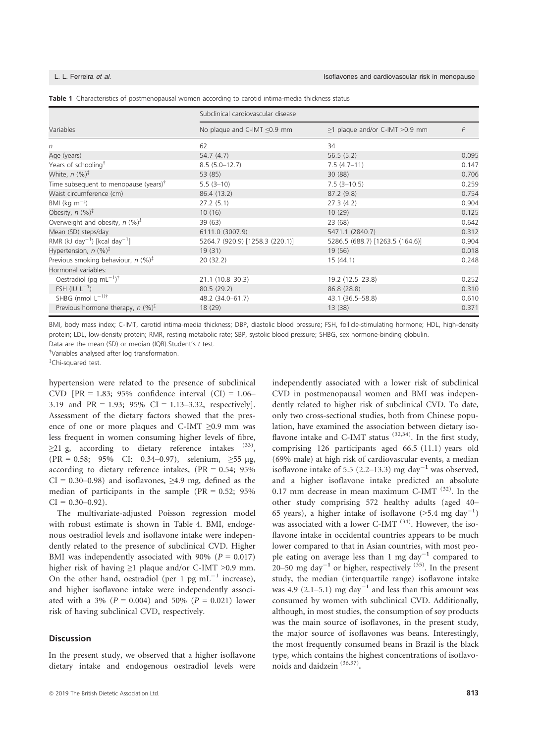|                                                               | Subclinical cardiovascular disease |                                         |       |  |
|---------------------------------------------------------------|------------------------------------|-----------------------------------------|-------|--|
| Variables                                                     | No plaque and C-IMT $\leq$ 0.9 mm  | $\geq$ 1 plaque and/or C-IMT $>$ 0.9 mm | P     |  |
| n                                                             | 62                                 | 34                                      |       |  |
| Age (years)                                                   | 54.7(4.7)                          | 56.5(5.2)                               | 0.095 |  |
| Years of schooling <sup>†</sup>                               | $8.5(5.0-12.7)$                    | $7.5(4.7-11)$                           | 0.147 |  |
| White, $n \, (\%)^{\ddagger}$                                 | 53 (85)                            | 30 (88)                                 | 0.706 |  |
| Time subsequent to menopause (years) $\dagger$                | $5.5(3-10)$                        | $7.5(3-10.5)$                           | 0.259 |  |
| Waist circumference (cm)                                      | 86.4 (13.2)                        | 87.2(9.8)                               | 0.754 |  |
| BMI ( $kg m^{-2}$ )                                           | 27.2(5.1)                          | 27.3(4.2)                               | 0.904 |  |
| Obesity, $n$ (%) <sup>‡</sup>                                 | 10(16)                             | 10(29)                                  | 0.125 |  |
| Overweight and obesity, $n$ (%) <sup><math>\ddag</math></sup> | 39 (63)                            | 23 (68)                                 | 0.642 |  |
| Mean (SD) steps/day                                           | 6111.0 (3007.9)                    | 5471.1 (2840.7)                         | 0.312 |  |
| RMR (kJ day <sup>-1</sup> ) [kcal day <sup>-1</sup> ]         | 5264.7 (920.9) [1258.3 (220.1)]    | 5286.5 (688.7) [1263.5 (164.6)]         | 0.904 |  |
| Hypertension, $n$ (%) <sup>‡</sup>                            | 19(31)                             | 19(56)                                  | 0.018 |  |
| Previous smoking behaviour, $n$ (%) <sup>‡</sup>              | 20(32.2)                           | 15(44.1)                                | 0.248 |  |
| Hormonal variables:                                           |                                    |                                         |       |  |
| Oestradiol (pg mL <sup>-1</sup> ) <sup>†</sup>                | 21.1 (10.8-30.3)                   | 19.2 (12.5-23.8)                        | 0.252 |  |
| FSH (IU $L^{-1}$ )                                            | 80.5(29.2)                         | 86.8 (28.8)                             | 0.310 |  |
| SHBG (nmol $L^{-1}$ <sup>+</sup>                              | 48.2 (34.0-61.7)                   | 43.1 (36.5–58.8)                        | 0.610 |  |
| Previous hormone therapy, $n$ (%) <sup>‡</sup>                | 18 (29)                            | 13(38)                                  | 0.371 |  |

Table 1 Characteristics of postmenopausal women according to carotid intima-media thickness status

BMI, body mass index; C-IMT, carotid intima-media thickness; DBP, diastolic blood pressure; FSH, follicle-stimulating hormone; HDL, high-density protein; LDL, low-density protein; RMR, resting metabolic rate; SBP, systolic blood pressure; SHBG, sex hormone-binding globulin.

Data are the mean (SD) or median (IQR). Student's  $t$  test. † Variables analysed after log transformation.

‡ Chi-squared test.

hypertension were related to the presence of subclinical CVD [PR = 1.83; 95% confidence interval  $(CI) = 1.06-$ 3.19 and PR = 1.93; 95% CI = 1.13–3.32, respectively]. Assessment of the dietary factors showed that the presence of one or more plaques and C-IMT  $\geq$ 0.9 mm was less frequent in women consuming higher levels of fibre,  $\geq$ 21 g, according to dietary reference intakes  $(33)$ , (PR = 0.58; 95% CI: 0.34–0.97), selenium,  $\geq 55 \text{ µg}$ , according to dietary reference intakes, (PR = 0.54; 95%  $CI = 0.30{\text -}0.98$ ) and isoflavones,  $\geq 4.9$  mg, defined as the median of participants in the sample (PR =  $0.52$ ; 95%  $CI = 0.30 - 0.92$ .

The multivariate-adjusted Poisson regression model with robust estimate is shown in Table 4. BMI, endogenous oestradiol levels and isoflavone intake were independently related to the presence of subclinical CVD. Higher BMI was independently associated with 90% ( $P = 0.017$ ) higher risk of having  $\geq 1$  plaque and/or C-IMT >0.9 mm. On the other hand, oestradiol (per 1 pg  $mL^{-1}$  increase), and higher isoflavone intake were independently associated with a 3% ( $P = 0.004$ ) and 50% ( $P = 0.021$ ) lower risk of having subclinical CVD, respectively.

#### **Discussion**

In the present study, we observed that a higher isoflavone dietary intake and endogenous oestradiol levels were

independently associated with a lower risk of subclinical CVD in postmenopausal women and BMI was independently related to higher risk of subclinical CVD. To date, only two cross-sectional studies, both from Chinese population, have examined the association between dietary isoflavone intake and C-IMT status <sup>(32,34)</sup>. In the first study, comprising 126 participants aged 66.5 (11.1) years old (69% male) at high risk of cardiovascular events, a median isoflavone intake of 5.5 (2.2–13.3) mg day<sup>-1</sup> was observed, and a higher isoflavone intake predicted an absolute 0.17 mm decrease in mean maximum C-IMT  $^{(32)}$ . In the other study comprising 572 healthy adults (aged 40– 65 years), a higher intake of isoflavone ( $>5.4$  mg day<sup>-1</sup>) was associated with a lower C-IMT<sup>(34)</sup>. However, the isoflavone intake in occidental countries appears to be much lower compared to that in Asian countries, with most people eating on average less than 1 mg day<sup>-1</sup> compared to 20–50 mg day<sup>-1</sup> or higher, respectively  $(35)$ . In the present study, the median (interquartile range) isoflavone intake was 4.9 (2.1–5.1) mg day<sup>-1</sup> and less than this amount was consumed by women with subclinical CVD. Additionally, although, in most studies, the consumption of soy products was the main source of isoflavones, in the present study, the major source of isoflavones was beans. Interestingly, the most frequently consumed beans in Brazil is the black type, which contains the highest concentrations of isoflavonoids and daidzein (36,37).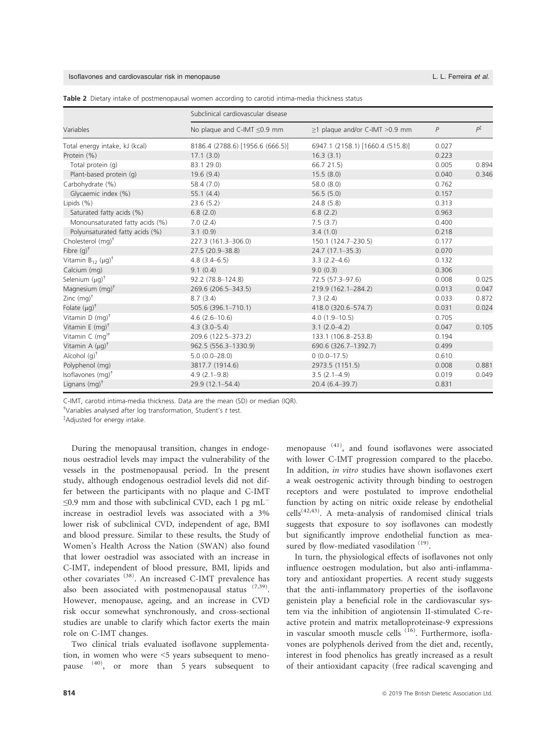|                                          | Subclinical cardiovascular disease |                                      |       |                |
|------------------------------------------|------------------------------------|--------------------------------------|-------|----------------|
| Variables                                | No plaque and C-IMT $\leq$ 0.9 mm  | $\geq$ 1 plaque and/or C-IMT >0.9 mm | P     | $P^{\ddagger}$ |
| Total energy intake, kJ (kcal)           | 8186.4 (2788.6) [1956.6 (666.5)]   | 6947.1 (2158.1) [1660.4 (515.8)]     | 0.027 |                |
| Protein (%)                              | 17.1(3.0)                          | 16.3(3.1)                            | 0.223 |                |
| Total protein (g)                        | 83.1 29.0)                         | 66.7 21.5)                           | 0.005 | 0.894          |
| Plant-based protein (g)                  | 19.6(9.4)                          | 15.5(8.0)                            | 0.040 | 0.346          |
| Carbohydrate (%)                         | 58.4 (7.0)                         | 58.0(8.0)                            | 0.762 |                |
| Glycaemic index (%)                      | 55.1(4.4)                          | 56.5(5.0)                            | 0.157 |                |
| Lipids $(% )$                            | 23.6 (5.2)                         | 24.8(5.8)                            | 0.313 |                |
| Saturated fatty acids (%)                | 6.8(2.0)                           | 6.8(2.2)                             | 0.963 |                |
| Monounsaturated fatty acids (%)          | 7.0(2.4)                           | 7.5(3.7)                             | 0.400 |                |
| Polyunsaturated fatty acids (%)          | 3.1(0.9)                           | 3.4(1.0)                             | 0.218 |                |
| Cholesterol (mg) <sup>†</sup>            | 227.3 (161.3-306.0)                | 150.1 (124.7-230.5)                  | 0.177 |                |
| Fibre $(g)$ <sup>†</sup>                 | 27.5 (20.9-38.8)                   | 24.7 (17.1-35.3)                     | 0.070 |                |
| Vitamin $B_{12}$ ( $\mu$ g) <sup>†</sup> | $4.8(3.4 - 6.5)$                   | $3.3(2.2 - 4.6)$                     | 0.132 |                |
| Calcium (mg)                             | 9.1(0.4)                           | 9.0(0.3)                             | 0.306 |                |
| Selenium $(\mu q)^{\dagger}$             | 92.2 (78.8-124.8)                  | 72.5 (57.3-97.6)                     | 0.008 | 0.025          |
| Magnesium (mg) <sup>†</sup>              | 269.6 (206.5-343.5)                | 219.9 (162.1-284.2)                  | 0.013 | 0.047          |
| Zinc $(mq)^{\dagger}$                    | 8.7(3.4)                           | 7.3(2.4)                             | 0.033 | 0.872          |
| Folate $(\mu q)^{\dagger}$               | 505.6 (396.1-710.1)                | 418.0 (320.6-574.7)                  | 0.031 | 0.024          |
| Vitamin D $(mq)^{\dagger}$               | $4.6(2.6 - 10.6)$                  | $4.0(1.9 - 10.5)$                    | 0.705 |                |
| Vitamin E $(mq)^{\dagger}$               | $4.3(3.0 - 5.4)$                   | $3.1(2.0-4.2)$                       | 0.047 | 0.105          |
| Vitamin C $(mq)^{\dagger}$               | 209.6 (122.5-373.2)                | 133.1 (106.8-253.8)                  | 0.194 |                |
| Vitamin A $(\mu q)^{\dagger}$            | 962.5 (556.3-1330.9)               | 690.6 (326.7-1392.7)                 | 0.499 |                |
| Alcohol $(q)$ <sup>†</sup>               | $5.0(0.0 - 28.0)$                  | $0(0.0-17.5)$                        | 0.610 |                |
| Polyphenol (mg)                          | 3817.7 (1914.6)                    | 2973.5 (1151.5)                      | 0.008 | 0.881          |
| Isoflavones (mg) <sup>†</sup>            | $4.9(2.1 - 9.8)$                   | $3.5(2.1 - 4.9)$                     | 0.019 | 0.049          |
| Lignans $(mg)^{\dagger}$                 | 29.9 (12.1-54.4)                   | $20.4(6.4 - 39.7)$                   | 0.831 |                |
|                                          |                                    |                                      |       |                |

Table 2 Dietary intake of postmenopausal women according to carotid intima-media thickness status

C-IMT, carotid intima-media thickness. Data are the mean (SD) or median (IQR).

† Variables analysed after log transformation, Student's t test.

‡ Adjusted for energy intake.

During the menopausal transition, changes in endogenous oestradiol levels may impact the vulnerability of the vessels in the postmenopausal period. In the present study, although endogenous oestradiol levels did not differ between the participants with no plaque and C-IMT ≤0.9 mm and those with subclinical CVD, each 1 pg mL<sup> $-$ </sup> increase in oestradiol levels was associated with a 3% lower risk of subclinical CVD, independent of age, BMI and blood pressure. Similar to these results, the Study of Women's Health Across the Nation (SWAN) also found that lower oestradiol was associated with an increase in C-IMT, independent of blood pressure, BMI, lipids and other covariates (38). An increased C-IMT prevalence has also been associated with postmenopausal status  $(7,39)$ . However, menopause, ageing, and an increase in CVD risk occur somewhat synchronously, and cross-sectional studies are unable to clarify which factor exerts the main role on C-IMT changes.

Two clinical trials evaluated isoflavone supplementation, in women who were <5 years subsequent to menopause (40), or more than 5 years subsequent to menopause (41), and found isoflavones were associated with lower C-IMT progression compared to the placebo. In addition, in vitro studies have shown isoflavones exert a weak oestrogenic activity through binding to oestrogen receptors and were postulated to improve endothelial function by acting on nitric oxide release by endothelial  $cells<sup>(42,43)</sup>$ . A meta-analysis of randomised clinical trials suggests that exposure to soy isoflavones can modestly but significantly improve endothelial function as measured by flow-mediated vasodilation <sup>(19)</sup>.

In turn, the physiological effects of isoflavones not only influence oestrogen modulation, but also anti-inflammatory and antioxidant properties. A recent study suggests that the anti-inflammatory properties of the isoflavone genistein play a beneficial role in the cardiovascular system via the inhibition of angiotensin II-stimulated C-reactive protein and matrix metalloproteinase-9 expressions in vascular smooth muscle cells  $(16)$ . Furthermore, isoflavones are polyphenols derived from the diet and, recently, interest in food phenolics has greatly increased as a result of their antioxidant capacity (free radical scavenging and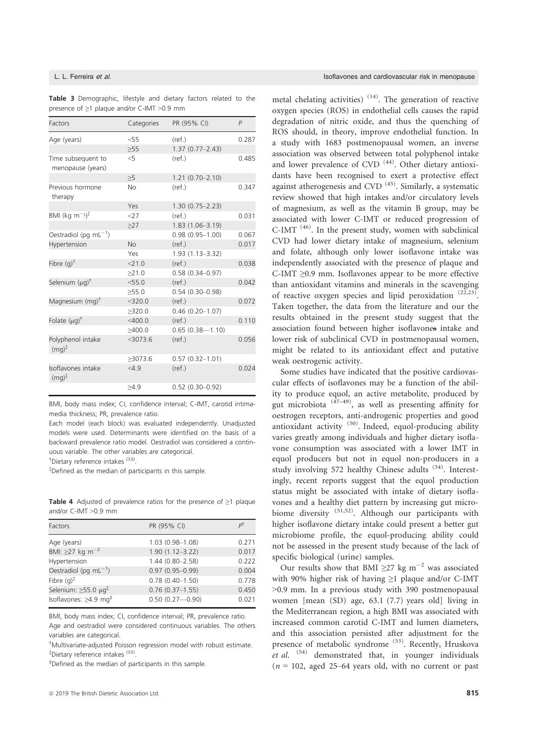| Factors                                 | Categories     | PR (95% CI)         | $\overline{P}$ |
|-----------------------------------------|----------------|---------------------|----------------|
| Age (years)                             | $<$ 55         | (ref.)              | 0.287          |
|                                         | >55            | $1.37(0.77 - 2.43)$ |                |
| Time subsequent to<br>menopause (years) | $<$ 5          | (ref.)              | 0.485          |
|                                         | $\geq 5$       | $1.21(0.70 - 2.10)$ |                |
| Previous hormone<br>therapy             | No             | (ref.)              | 0.347          |
|                                         | Yes            | $1.30(0.75 - 2.23)$ |                |
| BMI (kg $m^{-2}$ ) <sup>‡</sup>         | 27             | (ref.)              | 0.031          |
|                                         | $\geq$ 27      | $1.83(1.06 - 3.19)$ |                |
| Oestradiol (pg $mL^{-1}$ )              |                | $0.98(0.95 - 1.00)$ | 0.067          |
| Hypertension                            | N <sub>o</sub> | (ref.)              | 0.017          |
|                                         | Yes            | $1.93(1.13 - 3.32)$ |                |
| Fibre $(q)$ <sup>†</sup>                | $<$ 21.0       | (ref.)              | 0.038          |
|                                         | >21.0          | $0.58(0.34 - 0.97)$ |                |
| Selenium $(\mu q)^{\dagger}$            | $<$ 55.0       | (ref.)              | 0.042          |
|                                         | >55.0          | $0.54(0.30 - 0.98)$ |                |
| Magnesium (mg) <sup>†</sup>             | $<$ 320.0      | (ref.)              | 0.072          |
|                                         | >320.0         | $0.46(0.20 - 1.07)$ |                |
| Folate $(\mu q)^{\dagger}$              | $<$ 400.0      | (ref.)              | 0.110          |
|                                         | >400.0         | $0.65(0.38 - 1.10)$ |                |
| Polyphenol intake<br>$(mg)^{\ddagger}$  | $<$ 3073.6     | (ref.)              | 0.056          |
|                                         | $\geq$ 3073.6  | $0.57(0.32 - 1.01)$ |                |
| Isoflavones intake<br>$(mq)^{\ddagger}$ | <4.9           | (ref.)              | 0.024          |
|                                         | >4.9           | $0.52(0.30 - 0.92)$ |                |

Table 3 Demographic, lifestyle and dietary factors related to the presence of ≥1 plaque and/or C-IMT >0.9 mm

BMI, body mass index; CI, confidence interval; C-IMT, carotid intimamedia thickness; PR, prevalence ratio.

Each model (each block) was evaluated independently. Unadjusted models were used. Determinants were identified on the basis of a backward prevalence ratio model. Oestradiol was considered a continuous variable. The other variables are categorical.

† Dietary reference intakes (33).

‡ Defined as the median of participants in this sample.

Table 4 Adjusted of prevalence ratios for the presence of ≥1 plaque and/or C-IMT >0.9 mm

| Factors                                 | PR (95% CI)         | DŤ    |
|-----------------------------------------|---------------------|-------|
| Age (years)                             | $1.03(0.98 - 1.08)$ | 0.271 |
| BMI: $\geq$ 27 kg m <sup>-2</sup>       | $1.90(1.12 - 3.22)$ | 0.017 |
| Hypertension                            | $1.44(0.80 - 2.58)$ | 0.222 |
| Oestradiol (pg $mL^{-1}$ )              | $0.97(0.95 - 0.99)$ | 0.004 |
| Fibre $(g)^{\ddagger}$                  | $0.78(0.40 - 1.50)$ | 0.778 |
| Selenium: $\geq$ 55.0 µg <sup>‡</sup>   | $0.76(0.37 - 1.55)$ | 0.450 |
| Isoflavones: $\geq 4.9$ mg <sup>§</sup> | $0.50(0.27 - 0.90)$ | 0.021 |

BMI, body mass index; CI, confidence interval; PR, prevalence ratio. Age and oestradiol were considered continuous variables. The others variables are categorical.

† Multivariate-adjusted Poisson regression model with robust estimate. ‡ Dietary reference intakes (33).

§ Defined as the median of participants in this sample.

metal chelating activities)  $(14)$ . The generation of reactive oxygen species (ROS) in endothelial cells causes the rapid degradation of nitric oxide, and thus the quenching of ROS should, in theory, improve endothelial function. In a study with 1683 postmenopausal women, an inverse association was observed between total polyphenol intake and lower prevalence of CVD  $(44)$ . Other dietary antioxidants have been recognised to exert a protective effect against atherogenesis and CVD  $(45)$ . Similarly, a systematic review showed that high intakes and/or circulatory levels of magnesium, as well as the vitamin B group, may be associated with lower C-IMT or reduced progression of C-IMT (46). In the present study, women with subclinical CVD had lower dietary intake of magnesium, selenium and folate, although only lower isoflavone intake was independently associated with the presence of plaque and C-IMT ≥0.9 mm. Isoflavones appear to be more effective than antioxidant vitamins and minerals in the scavenging of reactive oxygen species and lipid peroxidation  $(22,23)$ . Taken together, the data from the literature and our the results obtained in the present study suggest that the association found between higher isoflavones intake and lower risk of subclinical CVD in postmenopausal women, might be related to its antioxidant effect and putative weak oestrogenic activity.

Some studies have indicated that the positive cardiovascular effects of isoflavones may be a function of the ability to produce equol, an active metabolite, produced by gut microbiota  $(47-49)$ , as well as presenting affinity for oestrogen receptors, anti-androgenic properties and good antioxidant activity  $(50)$ . Indeed, equol-producing ability varies greatly among individuals and higher dietary isoflavone consumption was associated with a lower IMT in equol producers but not in equol non-producers in a study involving 572 healthy Chinese adults  $(34)$ . Interestingly, recent reports suggest that the equol production status might be associated with intake of dietary isoflavones and a healthy diet pattern by increasing gut microbiome diversity (51,52). Although our participants with higher isoflavone dietary intake could present a better gut microbiome profile, the equol-producing ability could not be assessed in the present study because of the lack of specific biological (urine) samples.

Our results show that BMI  $\geq$ 27 kg m<sup>-2</sup> was associated with 90% higher risk of having ≥1 plaque and/or C-IMT >0.9 mm. In a previous study with 390 postmenopausal women [mean (SD) age, 63.1 (7.7) years old] living in the Mediterranean region, a high BMI was associated with increased common carotid C-IMT and lumen diameters, and this association persisted after adjustment for the presence of metabolic syndrome <sup>(53)</sup>. Recently, Hruskova et al.  $(54)$  demonstrated that, in younger individuals  $(n = 102, \text{ aged } 25-64 \text{ years old, with no current or past})$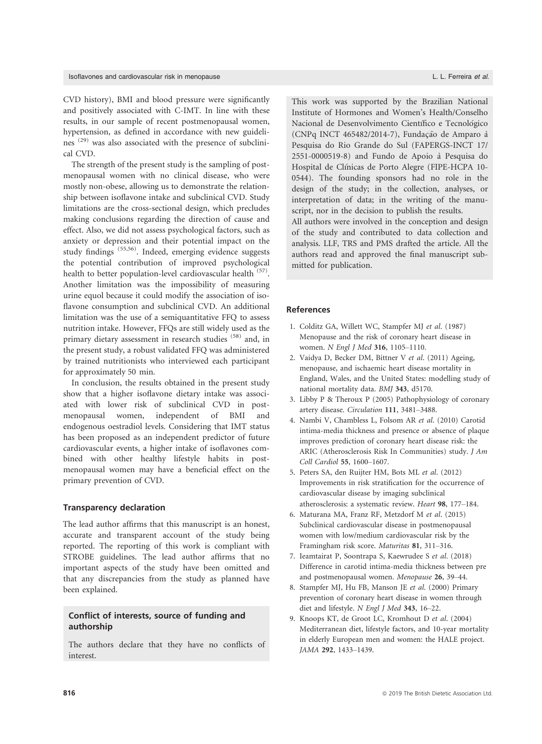CVD history), BMI and blood pressure were significantly and positively associated with C-IMT. In line with these results, in our sample of recent postmenopausal women, hypertension, as defined in accordance with new guidelines  $(29)$  was also associated with the presence of subclinical CVD.

The strength of the present study is the sampling of postmenopausal women with no clinical disease, who were mostly non-obese, allowing us to demonstrate the relationship between isoflavone intake and subclinical CVD. Study limitations are the cross-sectional design, which precludes making conclusions regarding the direction of cause and effect. Also, we did not assess psychological factors, such as anxiety or depression and their potential impact on the study findings (55,56). Indeed, emerging evidence suggests the potential contribution of improved psychological health to better population-level cardiovascular health <sup>(57)</sup>. Another limitation was the impossibility of measuring urine equol because it could modify the association of isoflavone consumption and subclinical CVD. An additional limitation was the use of a semiquantitative FFQ to assess nutrition intake. However, FFQs are still widely used as the primary dietary assessment in research studies (58) and, in the present study, a robust validated FFQ was administered by trained nutritionists who interviewed each participant for approximately 50 min.

In conclusion, the results obtained in the present study show that a higher isoflavone dietary intake was associated with lower risk of subclinical CVD in postmenopausal women, independent of BMI and endogenous oestradiol levels. Considering that IMT status has been proposed as an independent predictor of future cardiovascular events, a higher intake of isoflavones combined with other healthy lifestyle habits in postmenopausal women may have a beneficial effect on the primary prevention of CVD.

#### Transparency declaration

The lead author affirms that this manuscript is an honest, accurate and transparent account of the study being reported. The reporting of this work is compliant with STROBE guidelines. The lead author affirms that no important aspects of the study have been omitted and that any discrepancies from the study as planned have been explained.

## Conflict of interests, source of funding and authorship

The authors declare that they have no conflicts of interest.

This work was supported by the Brazilian National Institute of Hormones and Women's Health/Conselho Nacional de Desenvolvimento Científico e Tecnológico  $(CNPq INCT 465482/2014-7)$ , Fundação de Amparo à Pesquisa do Rio Grande do Sul (FAPERGS-INCT 17/ 2551-0000519-8) and Fundo de Apoio a Pesquisa do Hospital de Clínicas de Porto Alegre (FIPE-HCPA 10-0544). The founding sponsors had no role in the design of the study; in the collection, analyses, or interpretation of data; in the writing of the manuscript, nor in the decision to publish the results.

All authors were involved in the conception and design of the study and contributed to data collection and analysis. LLF, TRS and PMS drafted the article. All the authors read and approved the final manuscript submitted for publication.

#### References

- 1. Colditz GA, Willett WC, Stampfer MJ et al. (1987) Menopause and the risk of coronary heart disease in women. N Engl J Med 316, 1105-1110.
- 2. Vaidya D, Becker DM, Bittner V et al. (2011) Ageing, menopause, and ischaemic heart disease mortality in England, Wales, and the United States: modelling study of national mortality data. BMJ 343, d5170.
- 3. Libby P & Theroux P (2005) Pathophysiology of coronary artery disease. Circulation 111, 3481–3488.
- 4. Nambi V, Chambless L, Folsom AR et al. (2010) Carotid intima-media thickness and presence or absence of plaque improves prediction of coronary heart disease risk: the ARIC (Atherosclerosis Risk In Communities) study. J Am Coll Cardiol 55, 1600–1607.
- 5. Peters SA, den Ruijter HM, Bots ML et al. (2012) Improvements in risk stratification for the occurrence of cardiovascular disease by imaging subclinical atherosclerosis: a systematic review. Heart 98, 177–184.
- 6. Maturana MA, Franz RF, Metzdorf M et al. (2015) Subclinical cardiovascular disease in postmenopausal women with low/medium cardiovascular risk by the Framingham risk score. Maturitas 81, 311–316.
- 7. Ieamtairat P, Soontrapa S, Kaewrudee S et al. (2018) Difference in carotid intima-media thickness between pre and postmenopausal women. Menopause 26, 39–44.
- 8. Stampfer MJ, Hu FB, Manson JE et al. (2000) Primary prevention of coronary heart disease in women through diet and lifestyle. N Engl J Med 343, 16-22.
- 9. Knoops KT, de Groot LC, Kromhout D et al. (2004) Mediterranean diet, lifestyle factors, and 10-year mortality in elderly European men and women: the HALE project. JAMA 292, 1433–1439.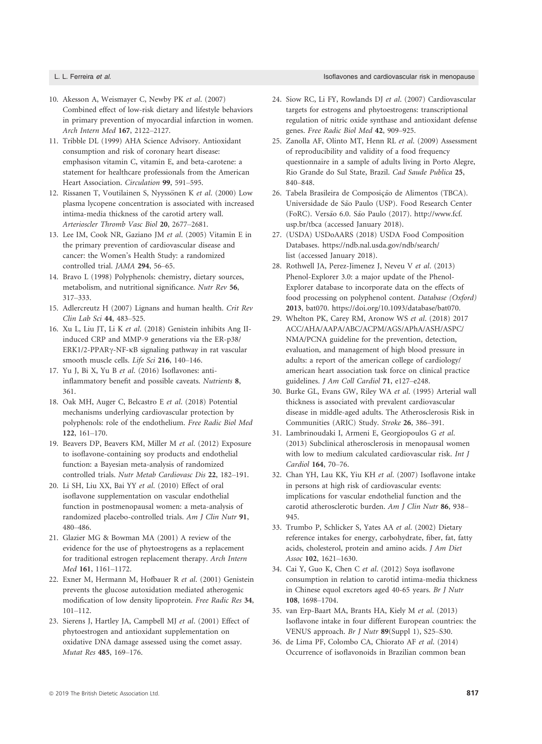- 10. Akesson A, Weismayer C, Newby PK et al. (2007) Combined effect of low-risk dietary and lifestyle behaviors in primary prevention of myocardial infarction in women. Arch Intern Med 167, 2122–2127.
- 11. Tribble DL (1999) AHA Science Advisory. Antioxidant consumption and risk of coronary heart disease: emphasison vitamin C, vitamin E, and beta-carotene: a statement for healthcare professionals from the American Heart Association. Circulation 99, 591–595.
- 12. Rissanen T, Voutilainen S, Nyyssönen K et al. (2000) Low plasma lycopene concentration is associated with increased intima-media thickness of the carotid artery wall. Arterioscler Thromb Vasc Biol 20, 2677–2681.
- 13. Lee IM, Cook NR, Gaziano JM et al. (2005) Vitamin E in the primary prevention of cardiovascular disease and cancer: the Women's Health Study: a randomized controlled trial. JAMA 294, 56–65.
- 14. Bravo L (1998) Polyphenols: chemistry, dietary sources, metabolism, and nutritional significance. Nutr Rev 56, 317–333.
- 15. Adlercreutz H (2007) Lignans and human health. Crit Rev Clin Lab Sci 44, 483–525.
- 16. Xu L, Liu JT, Li K et al. (2018) Genistein inhibits Ang IIinduced CRP and MMP-9 generations via the ER-p38/ ERK1/2-PPARγ-NF-κB signaling pathway in rat vascular smooth muscle cells. Life Sci 216, 140–146.
- 17. Yu J, Bi X, Yu B et al. (2016) Isoflavones: antiinflammatory benefit and possible caveats. Nutrients 8, 361.
- 18. Oak MH, Auger C, Belcastro E et al. (2018) Potential mechanisms underlying cardiovascular protection by polyphenols: role of the endothelium. Free Radic Biol Med 122, 161–170.
- 19. Beavers DP, Beavers KM, Miller M et al. (2012) Exposure to isoflavone-containing soy products and endothelial function: a Bayesian meta-analysis of randomized controlled trials. Nutr Metab Cardiovasc Dis 22, 182–191.
- 20. Li SH, Liu XX, Bai YY et al. (2010) Effect of oral isoflavone supplementation on vascular endothelial function in postmenopausal women: a meta-analysis of randomized placebo-controlled trials. Am J Clin Nutr 91, 480–486.
- 21. Glazier MG & Bowman MA (2001) A review of the evidence for the use of phytoestrogens as a replacement for traditional estrogen replacement therapy. Arch Intern Med 161, 1161–1172.
- 22. Exner M, Hermann M, Hofbauer R et al. (2001) Genistein prevents the glucose autoxidation mediated atherogenic modification of low density lipoprotein. Free Radic Res 34, 101–112.
- 23. Sierens J, Hartley JA, Campbell MJ et al. (2001) Effect of phytoestrogen and antioxidant supplementation on oxidative DNA damage assessed using the comet assay. Mutat Res 485, 169–176.
- 24. Siow RC, Li FY, Rowlands DJ et al. (2007) Cardiovascular targets for estrogens and phytoestrogens: transcriptional regulation of nitric oxide synthase and antioxidant defense genes. Free Radic Biol Med 42, 909–925.
- 25. Zanolla AF, Olinto MT, Henn RL et al. (2009) Assessment of reproducibility and validity of a food frequency questionnaire in a sample of adults living in Porto Alegre, Rio Grande do Sul State, Brazil. Cad Saude Publica 25, 840–848.
- 26. Tabela Brasileira de Composição de Alimentos (TBCA). Universidade de São Paulo (USP). Food Research Center (FoRC). Versão 6.0. São Paulo (2017). http://www.fcf. usp.br/tbca (accessed January 2018).
- 27. (USDA) USDoAARS (2018) USDA Food Composition Databases. https://ndb.nal.usda.gov/ndb/search/ list (accessed January 2018).
- 28. Rothwell JA, Perez-Jimenez J, Neveu V et al. (2013) Phenol-Explorer 3.0: a major update of the Phenol-Explorer database to incorporate data on the effects of food processing on polyphenol content. Database (Oxford) 2013, bat070. https://doi.org/10.1093/database/bat070.
- 29. Whelton PK, Carey RM, Aronow WS et al. (2018) 2017 ACC/AHA/AAPA/ABC/ACPM/AGS/APhA/ASH/ASPC/ NMA/PCNA guideline for the prevention, detection, evaluation, and management of high blood pressure in adults: a report of the american college of cardiology/ american heart association task force on clinical practice guidelines. J Am Coll Cardiol 71, e127–e248.
- 30. Burke GL, Evans GW, Riley WA et al. (1995) Arterial wall thickness is associated with prevalent cardiovascular disease in middle-aged adults. The Atherosclerosis Risk in Communities (ARIC) Study. Stroke 26, 386–391.
- 31. Lambrinoudaki I, Armeni E, Georgiopoulos G et al. (2013) Subclinical atherosclerosis in menopausal women with low to medium calculated cardiovascular risk. Int J Cardiol 164, 70–76.
- 32. Chan YH, Lau KK, Yiu KH et al. (2007) Isoflavone intake in persons at high risk of cardiovascular events: implications for vascular endothelial function and the carotid atherosclerotic burden. Am J Clin Nutr 86, 938– 945.
- 33. Trumbo P, Schlicker S, Yates AA et al. (2002) Dietary reference intakes for energy, carbohydrate, fiber, fat, fatty acids, cholesterol, protein and amino acids. J Am Diet Assoc 102, 1621–1630.
- 34. Cai Y, Guo K, Chen C et al. (2012) Soya isoflavone consumption in relation to carotid intima-media thickness in Chinese equol excretors aged 40-65 years. Br J Nutr 108, 1698–1704.
- 35. van Erp-Baart MA, Brants HA, Kiely M et al. (2013) Isoflavone intake in four different European countries: the VENUS approach. Br J Nutr 89(Suppl 1), S25–S30.
- 36. de Lima PF, Colombo CA, Chiorato AF et al. (2014) Occurrence of isoflavonoids in Brazilian common bean